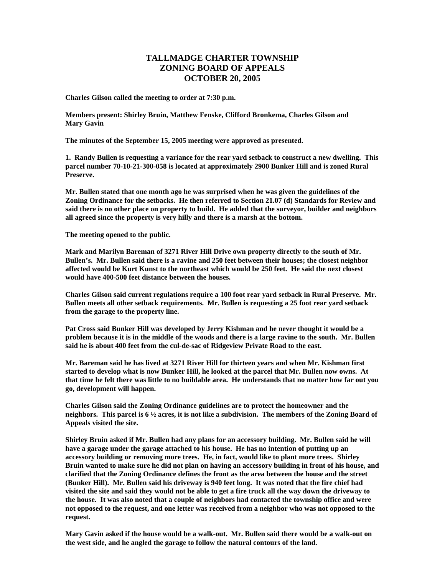## **TALLMADGE CHARTER TOWNSHIP ZONING BOARD OF APPEALS OCTOBER 20, 2005**

**Charles Gilson called the meeting to order at 7:30 p.m.** 

**Members present: Shirley Bruin, Matthew Fenske, Clifford Bronkema, Charles Gilson and Mary Gavin** 

**The minutes of the September 15, 2005 meeting were approved as presented.** 

**1. Randy Bullen is requesting a variance for the rear yard setback to construct a new dwelling. This parcel number 70-10-21-300-058 is located at approximately 2900 Bunker Hill and is zoned Rural Preserve.** 

**Mr. Bullen stated that one month ago he was surprised when he was given the guidelines of the Zoning Ordinance for the setbacks. He then referred to Section 21.07 (d) Standards for Review and said there is no other place on property to build. He added that the surveyor, builder and neighbors all agreed since the property is very hilly and there is a marsh at the bottom.** 

**The meeting opened to the public.** 

**Mark and Marilyn Bareman of 3271 River Hill Drive own property directly to the south of Mr. Bullen's. Mr. Bullen said there is a ravine and 250 feet between their houses; the closest neighbor affected would be Kurt Kunst to the northeast which would be 250 feet. He said the next closest would have 400-500 feet distance between the houses.** 

**Charles Gilson said current regulations require a 100 foot rear yard setback in Rural Preserve. Mr. Bullen meets all other setback requirements. Mr. Bullen is requesting a 25 foot rear yard setback from the garage to the property line.** 

**Pat Cross said Bunker Hill was developed by Jerry Kishman and he never thought it would be a problem because it is in the middle of the woods and there is a large ravine to the south. Mr. Bullen said he is about 400 feet from the cul-de-sac of Ridgeview Private Road to the east.** 

**Mr. Bareman said he has lived at 3271 River Hill for thirteen years and when Mr. Kishman first started to develop what is now Bunker Hill, he looked at the parcel that Mr. Bullen now owns. At that time he felt there was little to no buildable area. He understands that no matter how far out you go, development will happen.** 

**Charles Gilson said the Zoning Ordinance guidelines are to protect the homeowner and the neighbors. This parcel is 6 ½ acres, it is not like a subdivision. The members of the Zoning Board of Appeals visited the site.** 

**Shirley Bruin asked if Mr. Bullen had any plans for an accessory building. Mr. Bullen said he will have a garage under the garage attached to his house. He has no intention of putting up an accessory building or removing more trees. He, in fact, would like to plant more trees. Shirley Bruin wanted to make sure he did not plan on having an accessory building in front of his house, and clarified that the Zoning Ordinance defines the front as the area between the house and the street (Bunker Hill). Mr. Bullen said his driveway is 940 feet long. It was noted that the fire chief had visited the site and said they would not be able to get a fire truck all the way down the driveway to the house. It was also noted that a couple of neighbors had contacted the township office and were not opposed to the request, and one letter was received from a neighbor who was not opposed to the request.** 

**Mary Gavin asked if the house would be a walk-out. Mr. Bullen said there would be a walk-out on the west side, and he angled the garage to follow the natural contours of the land.**